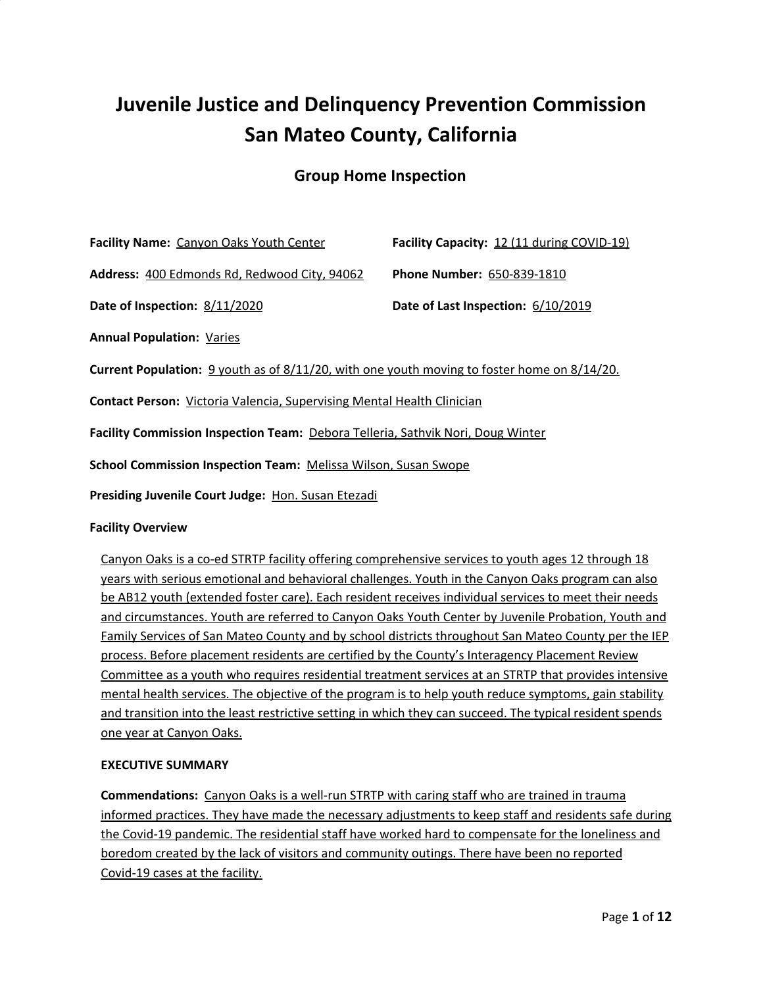# **Juvenile Justice and Delinquency Prevention Commission San Mateo County, California**

## **Group Home Inspection**

| Facility Name: Canyon Oaks Youth Center                                                     | Facility Capacity: 12 (11 during COVID-19) |
|---------------------------------------------------------------------------------------------|--------------------------------------------|
| Address: 400 Edmonds Rd, Redwood City, 94062                                                | Phone Number: 650-839-1810                 |
| Date of Inspection: 8/11/2020                                                               | Date of Last Inspection: 6/10/2019         |
| <b>Annual Population: Varies</b>                                                            |                                            |
| Current Population: 9 youth as of 8/11/20, with one youth moving to foster home on 8/14/20. |                                            |
| <b>Contact Person: Victoria Valencia, Supervising Mental Health Clinician</b>               |                                            |
| Facility Commission Inspection Team: Debora Telleria, Sathvik Nori, Doug Winter             |                                            |
| School Commission Inspection Team: Melissa Wilson, Susan Swope                              |                                            |
| Presiding Juvenile Court Judge: Hon. Susan Etezadi                                          |                                            |
| <b>Facility Overview</b>                                                                    |                                            |

Canyon Oaks is a co-ed STRTP facility offering comprehensive services to youth ages 12 through 18 years with serious emotional and behavioral challenges. Youth in the Canyon Oaks program can also be AB12 youth (extended foster care). Each resident receives individual services to meet their needs and circumstances. Youth are referred to Canyon Oaks Youth Center by Juvenile Probation, Youth and Family Services of San Mateo County and by school districts throughout San Mateo County per the IEP process. Before placement residents are certified by the County's Interagency Placement Review Committee as a youth who requires residential treatment services at an STRTP that provides intensive mental health services. The objective of the program is to help youth reduce symptoms, gain stability and transition into the least restrictive setting in which they can succeed. The typical resident spends one year at Canyon Oaks.

## **EXECUTIVE SUMMARY**

**Commendations:** Canyon Oaks is a well-run STRTP with caring staff who are trained in trauma informed practices. They have made the necessary adjustments to keep staff and residents safe during the Covid-19 pandemic. The residential staff have worked hard to compensate for the loneliness and boredom created by the lack of visitors and community outings. There have been no reported Covid-19 cases at the facility.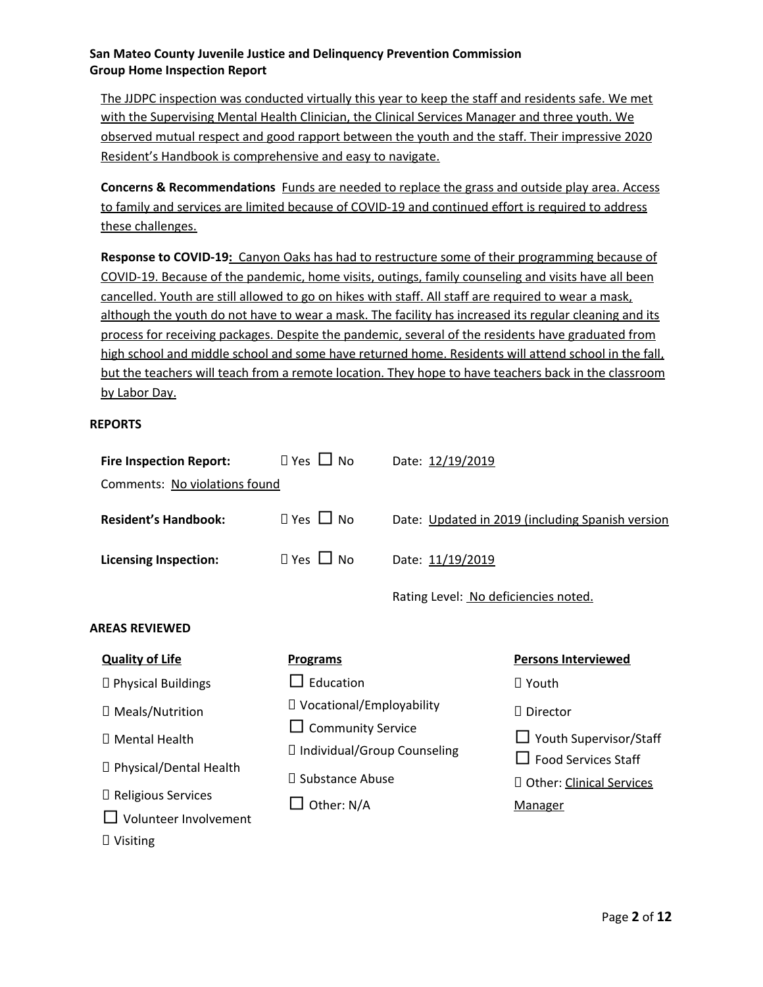The JJDPC inspection was conducted virtually this year to keep the staff and residents safe. We met with the Supervising Mental Health Clinician, the Clinical Services Manager and three youth. We observed mutual respect and good rapport between the youth and the staff. Their impressive 2020 Resident's Handbook is comprehensive and easy to navigate.

**Concerns & Recommendations** Funds are needed to replace the grass and outside play area. Access to family and services are limited because of COVID-19 and continued effort is required to address these challenges.

**Response to COVID-19:** Canyon Oaks has had to restructure some of their programming because of COVID-19. Because of the pandemic, home visits, outings, family counseling and visits have all been cancelled. Youth are still allowed to go on hikes with staff. All staff are required to wear a mask, although the youth do not have to wear a mask. The facility has increased its regular cleaning and its process for receiving packages. Despite the pandemic, several of the residents have graduated from high school and middle school and some have returned home. Residents will attend school in the fall, but the teachers will teach from a remote location. They hope to have teachers back in the classroom by Labor Day.

#### **REPORTS**

| <b>Fire Inspection Report:</b>                                   | $\Box$ Yes $\Box$ No                                      | Date: 12/19/2019                     |                                                        |
|------------------------------------------------------------------|-----------------------------------------------------------|--------------------------------------|--------------------------------------------------------|
| Comments: No violations found                                    |                                                           |                                      |                                                        |
| <b>Resident's Handbook:</b>                                      | $\Box$ Yes $\Box$ No                                      |                                      | Date: Updated in 2019 (including Spanish version       |
| <b>Licensing Inspection:</b>                                     | $\Box$ Yes $\Box$ No                                      | Date: 11/19/2019                     |                                                        |
|                                                                  |                                                           | Rating Level: No deficiencies noted. |                                                        |
| <b>AREAS REVIEWED</b>                                            |                                                           |                                      |                                                        |
| <b>Quality of Life</b>                                           | <b>Programs</b>                                           |                                      | <b>Persons Interviewed</b>                             |
| $\Box$ Physical Buildings                                        | $\Box$ Education                                          |                                      | $\Box$ Youth                                           |
| □ Meals/Nutrition                                                | □ Vocational/Employability                                |                                      | $\Box$ Director                                        |
| □ Mental Health                                                  | $\Box$ Community Service<br>□ Individual/Group Counseling |                                      | □ Youth Supervisor/Staff<br><b>Food Services Staff</b> |
| □ Physical/Dental Health                                         | □ Substance Abuse                                         |                                      | D Other: Clinical Services                             |
| □ Religious Services<br>Volunteer Involvement<br>$\Box$ Visiting | Other: N/A                                                |                                      | <b>Manager</b>                                         |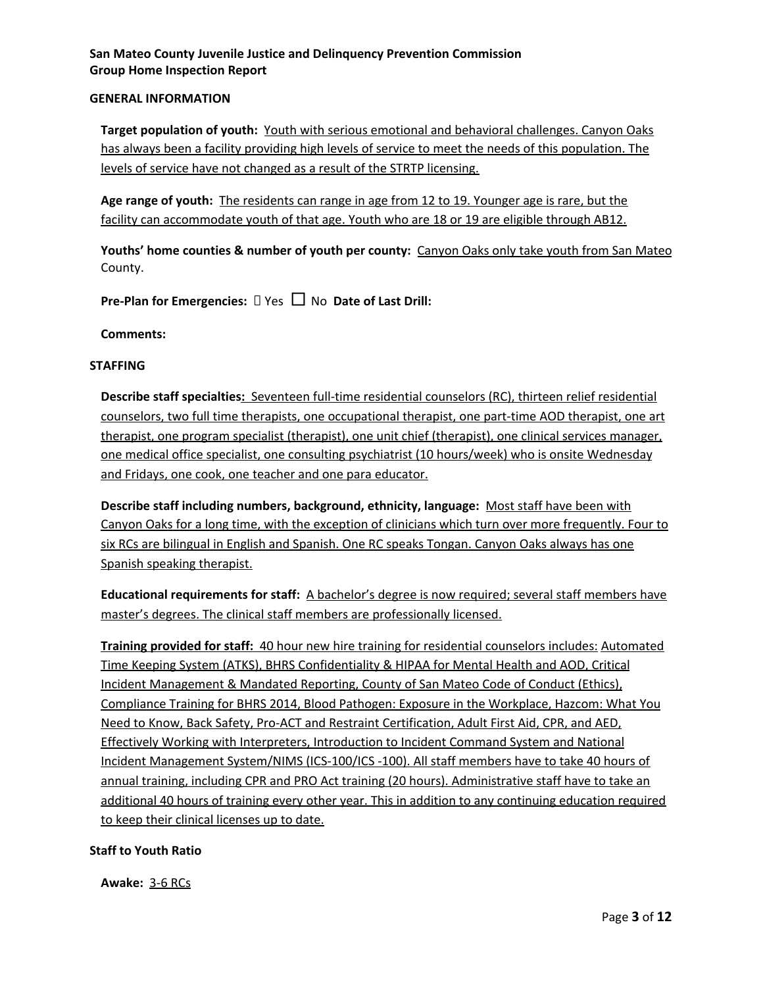#### **GENERAL INFORMATION**

**Target population of youth:** Youth with serious emotional and behavioral challenges. Canyon Oaks has always been a facility providing high levels of service to meet the needs of this population. The levels of service have not changed as a result of the STRTP licensing.

**Age range of youth:** The residents can range in age from 12 to 19. Younger age is rare, but the facility can accommodate youth of that age. Youth who are 18 or 19 are eligible through AB12.

**Youths' home counties & number of youth per county:** Canyon Oaks only take youth from San Mateo County.

**Pre-Plan for Emergencies:** Yes □ No **Date of Last Drill:**

**Comments:**

#### **STAFFING**

**Describe staff specialties:** Seventeen full-time residential counselors (RC), thirteen relief residential counselors, two full time therapists, one occupational therapist, one part-time AOD therapist, one art therapist, one program specialist (therapist), one unit chief (therapist), one clinical services manager, one medical office specialist, one consulting psychiatrist (10 hours/week) who is onsite Wednesday and Fridays, one cook, one teacher and one para educator.

**Describe staff including numbers, background, ethnicity, language:** Most staff have been with Canyon Oaks for a long time, with the exception of clinicians which turn over more frequently. Four to six RCs are bilingual in English and Spanish. One RC speaks Tongan. Canyon Oaks always has one Spanish speaking therapist.

**Educational requirements for staff:** A bachelor's degree is now required; several staff members have master's degrees. The clinical staff members are professionally licensed.

**Training provided for staff:** 40 hour new hire training for residential counselors includes: Automated Time Keeping System (ATKS), BHRS Confidentiality & HIPAA for Mental Health and AOD, Critical Incident Management & Mandated Reporting, County of San Mateo Code of Conduct (Ethics), Compliance Training for BHRS 2014, Blood Pathogen: Exposure in the Workplace, Hazcom: What You Need to Know, Back Safety, Pro-ACT and Restraint Certification, Adult First Aid, CPR, and AED, Effectively Working with Interpreters, Introduction to Incident Command System and National Incident Management System/NIMS (ICS-100/ICS -100). All staff members have to take 40 hours of annual training, including CPR and PRO Act training (20 hours). Administrative staff have to take an additional 40 hours of training every other year. This in addition to any continuing education required to keep their clinical licenses up to date.

## **Staff to Youth Ratio**

**Awake:** 3-6 RCs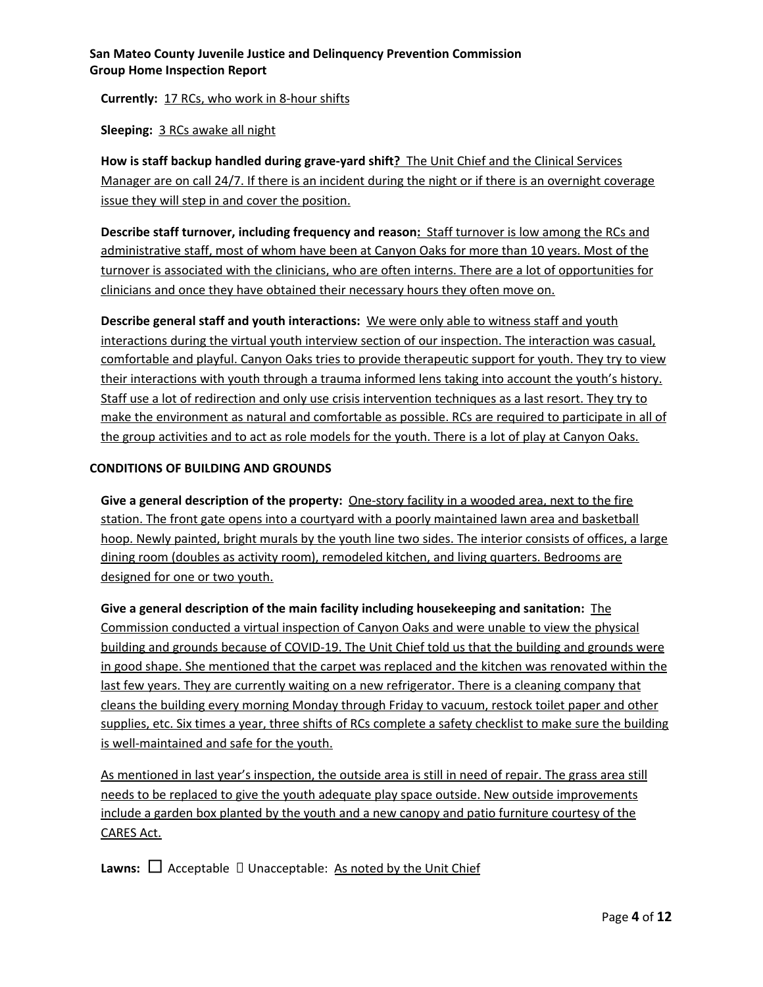**Currently:** 17 RCs, who work in 8-hour shifts

**Sleeping:** 3 RCs awake all night

**How is staff backup handled during grave-yard shift?** The Unit Chief and the Clinical Services Manager are on call 24/7. If there is an incident during the night or if there is an overnight coverage issue they will step in and cover the position.

**Describe staff turnover, including frequency and reason:** Staff turnover is low among the RCs and administrative staff, most of whom have been at Canyon Oaks for more than 10 years. Most of the turnover is associated with the clinicians, who are often interns. There are a lot of opportunities for clinicians and once they have obtained their necessary hours they often move on.

**Describe general staff and youth interactions:** We were only able to witness staff and youth interactions during the virtual youth interview section of our inspection. The interaction was casual, comfortable and playful. Canyon Oaks tries to provide therapeutic support for youth. They try to view their interactions with youth through a trauma informed lens taking into account the youth's history. Staff use a lot of redirection and only use crisis intervention techniques as a last resort. They try to make the environment as natural and comfortable as possible. RCs are required to participate in all of the group activities and to act as role models for the youth. There is a lot of play at Canyon Oaks.

## **CONDITIONS OF BUILDING AND GROUNDS**

**Give a general description of the property:** One-story facility in a wooded area, next to the fire station. The front gate opens into a courtyard with a poorly maintained lawn area and basketball hoop. Newly painted, bright murals by the youth line two sides. The interior consists of offices, a large dining room (doubles as activity room), remodeled kitchen, and living quarters. Bedrooms are designed for one or two youth.

**Give a general description of the main facility including housekeeping and sanitation:** The Commission conducted a virtual inspection of Canyon Oaks and were unable to view the physical building and grounds because of COVID-19. The Unit Chief told us that the building and grounds were in good shape. She mentioned that the carpet was replaced and the kitchen was renovated within the last few years. They are currently waiting on a new refrigerator. There is a cleaning company that cleans the building every morning Monday through Friday to vacuum, restock toilet paper and other supplies, etc. Six times a year, three shifts of RCs complete a safety checklist to make sure the building is well-maintained and safe for the youth.

As mentioned in last year's inspection, the outside area is still in need of repair. The grass area still needs to be replaced to give the youth adequate play space outside. New outside improvements include a garden box planted by the youth and a new canopy and patio furniture courtesy of the CARES Act.

**Lawns:**  $\Box$  Acceptable  $\Box$  Unacceptable: As noted by the Unit Chief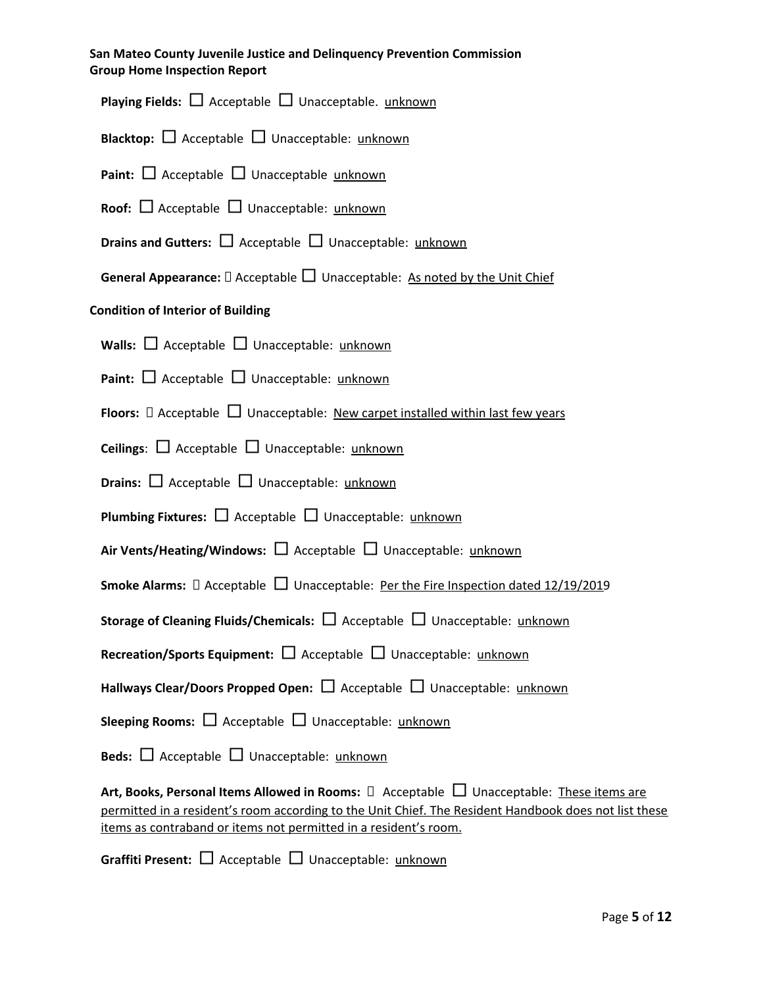**Playing Fields:** □ Acceptable □ Unacceptable. unknown

**Blacktop:** □ Acceptable □ Unacceptable: unknown

**Paint:** □ Acceptable □ Unacceptable unknown

**Roof:** □ Acceptable □ Unacceptable: unknown

**Drains and Gutters:** □ Acceptable □ Unacceptable: unknown

**General Appearance:**  $\Box$  Acceptable  $\Box$  Unacceptable: As noted by the Unit Chief

## **Condition of Interior of Building**

**Walls:** □ Acceptable □ Unacceptable: unknown

**Paint:** □ Acceptable □ Unacceptable: unknown

**Floors:**  $\Box$  Acceptable  $\Box$  Unacceptable: New carpet installed within last few years

**Ceilings**: □ Acceptable □ Unacceptable: unknown

**Drains:** □ Acceptable □ Unacceptable: unknown

**Plumbing Fixtures:** □ Acceptable □ Unacceptable: unknown

**Air Vents/Heating/Windows:** □ Acceptable □ Unacceptable: unknown

**Smoke Alarms:**  $\Box$  Acceptable  $\Box$  Unacceptable: Per the Fire Inspection dated 12/19/2019

**Storage of Cleaning Fluids/Chemicals:** □ Acceptable □ Unacceptable: unknown

**Recreation/Sports Equipment:** □ Acceptable □ Unacceptable: unknown

**Hallways Clear/Doors Propped Open:** □ Acceptable □ Unacceptable: unknown

**Sleeping Rooms:** □ Acceptable □ Unacceptable: unknown

**Beds:** □ Acceptable □ Unacceptable: unknown

**Art, Books, Personal Items Allowed in Rooms:** Acceptable □ Unacceptable: These items are permitted in a resident's room according to the Unit Chief. The Resident Handbook does not list these items as contraband or items not permitted in a resident's room.

**Graffiti Present:** □ Acceptable □ Unacceptable: unknown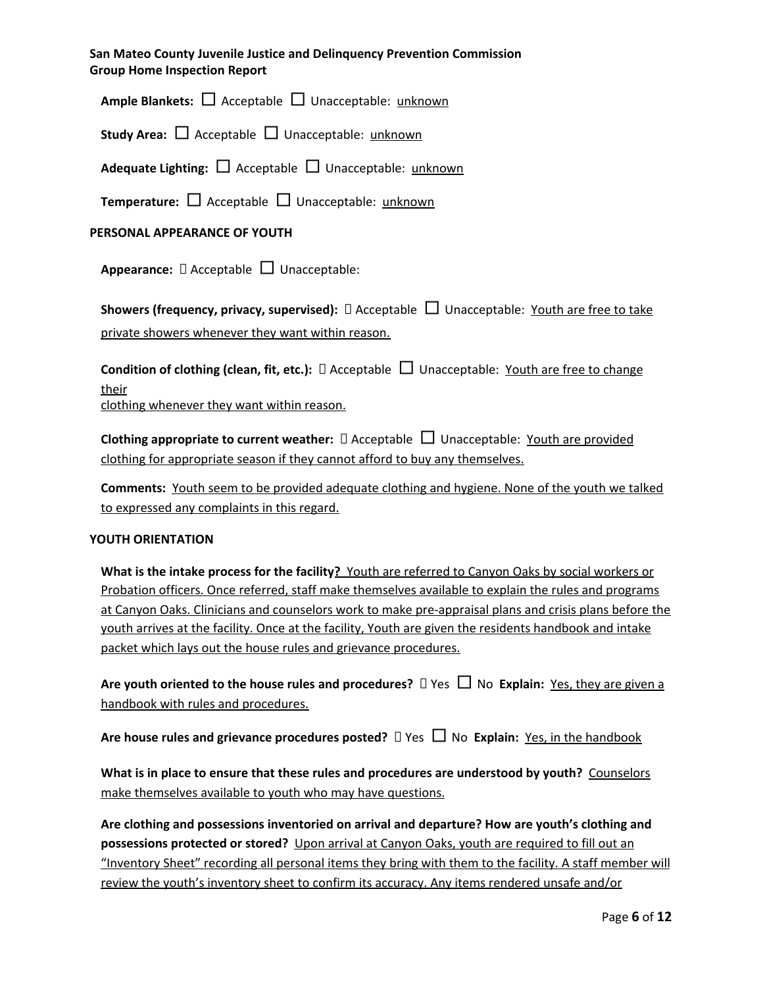**Ample Blankets:** □ Acceptable □ Unacceptable: unknown

**Study Area:** □ Acceptable □ Unacceptable: unknown

**Adequate Lighting:** □ Acceptable □ Unacceptable: unknown

**Temperature:** □ Acceptable □ Unacceptable: unknown

## **PERSONAL APPEARANCE OF YOUTH**

**Appearance:** □ Acceptable □ Unacceptable:

**Showers (frequency, privacy, supervised):** □ Acceptable □ Unacceptable: Youth are free to take private showers whenever they want within reason.

**Condition of clothing (clean, fit, etc.):** Acceptable □ Unacceptable: Youth are free to change their

clothing whenever they want within reason.

**Clothing appropriate to current weather:**  $\Box$  Acceptable  $\Box$  Unacceptable: Youth are provided clothing for appropriate season if they cannot afford to buy any themselves.

**Comments:** Youth seem to be provided adequate clothing and hygiene. None of the youth we talked to expressed any complaints in this regard.

#### **YOUTH ORIENTATION**

**What is the intake process for the facility?** Youth are referred to Canyon Oaks by social workers or Probation officers. Once referred, staff make themselves available to explain the rules and programs at Canyon Oaks. Clinicians and counselors work to make pre-appraisal plans and crisis plans before the youth arrives at the facility. Once at the facility, Youth are given the residents handbook and intake packet which lays out the house rules and grievance procedures.

**Are youth oriented to the house rules and procedures?**  $\Box$  Yes  $\Box$  No **Explain:** Yes, they are given a handbook with rules and procedures.

**Are house rules and grievance procedures posted?** Yes □ No **Explain:** Yes, in the handbook

**What is in place to ensure that these rules and procedures are understood by youth?** Counselors make themselves available to youth who may have questions.

**Are clothing and possessions inventoried on arrival and departure? How are youth's clothing and possessions protected or stored?** Upon arrival at Canyon Oaks, youth are required to fill out an "Inventory Sheet" recording all personal items they bring with them to the facility. A staff member will review the youth's inventory sheet to confirm its accuracy. Any items rendered unsafe and/or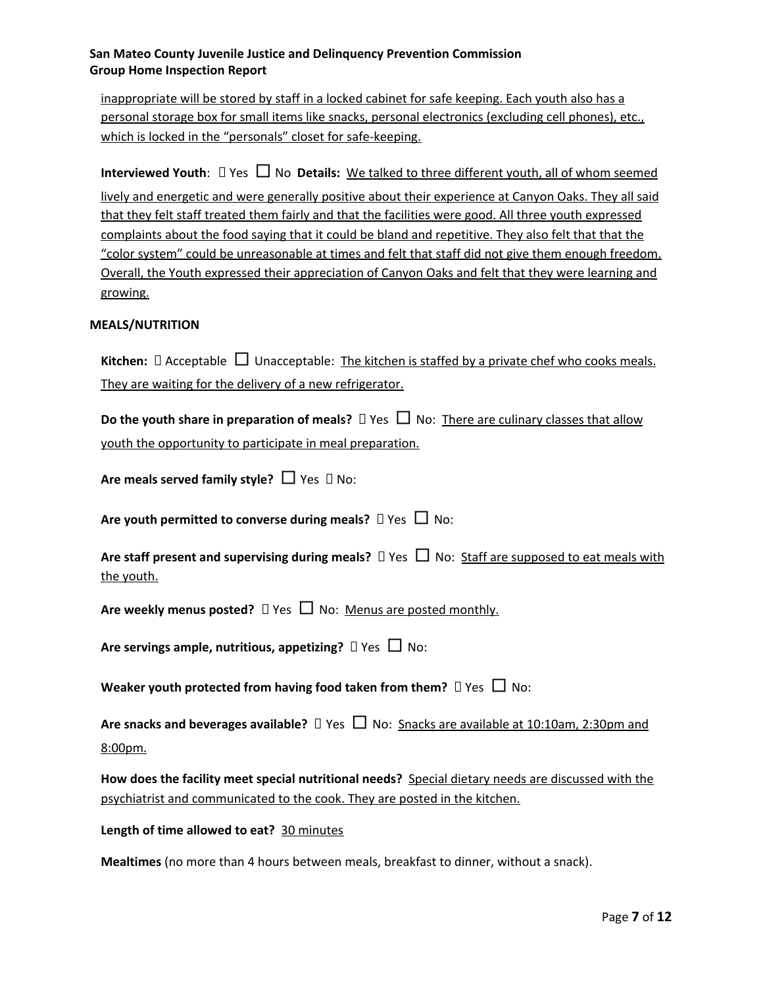inappropriate will be stored by staff in a locked cabinet for safe keeping. Each youth also has a personal storage box for small items like snacks, personal electronics (excluding cell phones), etc., which is locked in the "personals" closet for safe-keeping.

**Interviewed Youth:**  $\Box$  Yes  $\Box$  No **Details:** We talked to three different youth, all of whom seemed lively and energetic and were generally positive about their experience at Canyon Oaks. They all said that they felt staff treated them fairly and that the facilities were good. All three youth expressed complaints about the food saying that it could be bland and repetitive. They also felt that that the "color system" could be unreasonable at times and felt that staff did not give them enough freedom. Overall, the Youth expressed their appreciation of Canyon Oaks and felt that they were learning and growing.

#### **MEALS/NUTRITION**

**Kitchen:**  $\Box$  Acceptable  $\Box$  Unacceptable: The kitchen is staffed by a private chef who cooks meals. They are waiting for the delivery of a new refrigerator.

| Do the youth share in preparation of meals? $\Box$ Yes $\Box$ No: There are culinary classes that allow |  |  |
|---------------------------------------------------------------------------------------------------------|--|--|
| youth the opportunity to participate in meal preparation.                                               |  |  |

**Are meals served family style?** □ Yes  $\Box$  No:

**Are youth permitted to converse during meals?**  $\Box$  Yes  $\Box$  No:

| Are staff present and supervising during meals? $\Box$ Yes $\Box$ No: Staff are supposed to eat meals with |  |  |
|------------------------------------------------------------------------------------------------------------|--|--|
| the youth.                                                                                                 |  |  |

**Are weekly menus posted?**  $\Box$  Yes  $\Box$  No: Menus are posted monthly.

**Are servings ample, nutritious, appetizing?**  $\Box$  Yes  $\Box$  No:

**Weaker youth protected from having food taken from them?** Yes □ No:

**Are snacks and beverages available?** Yes □ No: Snacks are available at 10:10am, 2:30pm and 8:00pm.

**How does the facility meet special nutritional needs?** Special dietary needs are discussed with the psychiatrist and communicated to the cook. They are posted in the kitchen.

#### **Length of time allowed to eat?** 30 minutes

**Mealtimes** (no more than 4 hours between meals, breakfast to dinner, without a snack).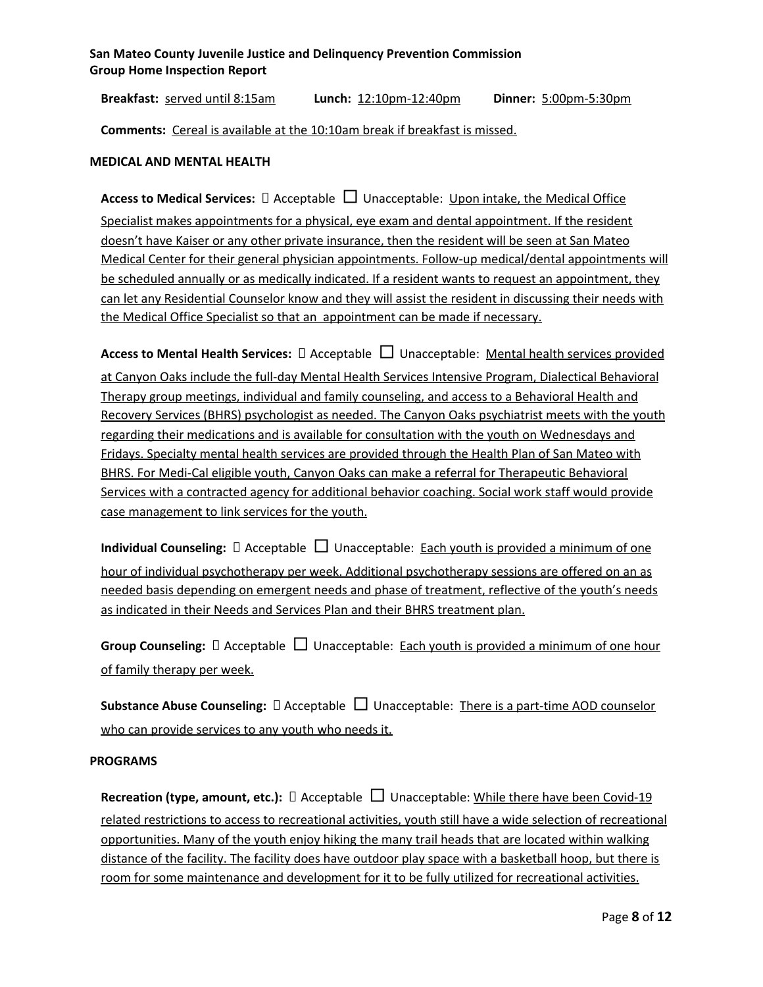**Breakfast:** served until 8:15am **Lunch:** 12:10pm-12:40pm **Dinner:** 5:00pm-5:30pm

**Comments:** Cereal is available at the 10:10am break if breakfast is missed.

#### **MEDICAL AND MENTAL HEALTH**

**Access to Medical Services:** □ Acceptable □ Unacceptable: Upon intake, the Medical Office Specialist makes appointments for a physical, eye exam and dental appointment. If the resident doesn't have Kaiser or any other private insurance, then the resident will be seen at San Mateo Medical Center for their general physician appointments. Follow-up medical/dental appointments will be scheduled annually or as medically indicated. If a resident wants to request an appointment, they can let any Residential Counselor know and they will assist the resident in discussing their needs with the Medical Office Specialist so that an appointment can be made if necessary.

**Access to Mental Health Services:** □ Acceptable □ Unacceptable: Mental health services provided at Canyon Oaks include the full-day Mental Health Services Intensive Program, Dialectical Behavioral Therapy group meetings, individual and family counseling, and access to a Behavioral Health and Recovery Services (BHRS) psychologist as needed. The Canyon Oaks psychiatrist meets with the youth regarding their medications and is available for consultation with the youth on Wednesdays and Fridays. Specialty mental health services are provided through the Health Plan of San Mateo with BHRS. For Medi-Cal eligible youth, Canyon Oaks can make a referral for Therapeutic Behavioral Services with a contracted agency for additional behavior coaching. Social work staff would provide case management to link services for the youth.

**Individual Counseling:**  $\Box$  Acceptable  $\Box$  Unacceptable: Each youth is provided a minimum of one hour of individual psychotherapy per week. Additional psychotherapy sessions are offered on an as needed basis depending on emergent needs and phase of treatment, reflective of the youth's needs as indicated in their Needs and Services Plan and their BHRS treatment plan.

**Group Counseling:**  $\Box$  Acceptable  $\Box$  Unacceptable: Each youth is provided a minimum of one hour of family therapy per week.

**Substance Abuse Counseling:**  $\Box$  Acceptable  $\Box$  Unacceptable: There is a part-time AOD counselor who can provide services to any youth who needs it.

#### **PROGRAMS**

**Recreation (type, amount, etc.):** □ Acceptable □ Unacceptable: While there have been Covid-19 related restrictions to access to recreational activities, youth still have a wide selection of recreational opportunities. Many of the youth enjoy hiking the many trail heads that are located within walking distance of the facility. The facility does have outdoor play space with a basketball hoop, but there is room for some maintenance and development for it to be fully utilized for recreational activities.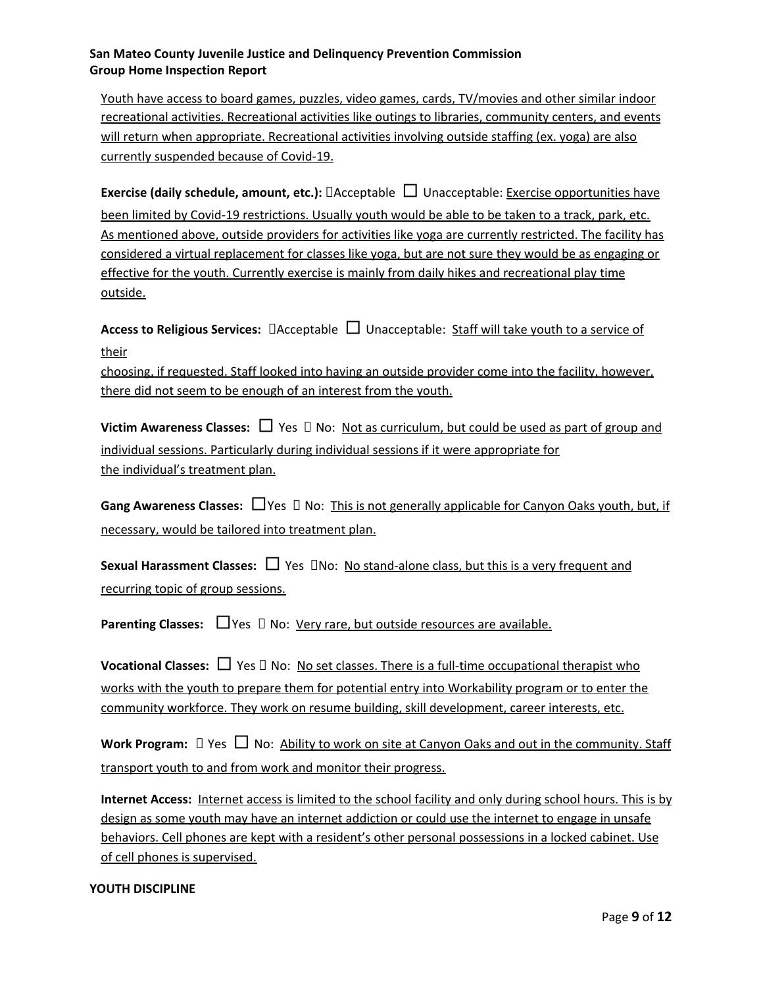Youth have access to board games, puzzles, video games, cards, TV/movies and other similar indoor recreational activities. Recreational activities like outings to libraries, community centers, and events will return when appropriate. Recreational activities involving outside staffing (ex. yoga) are also currently suspended because of Covid-19.

**Exercise (daily schedule, amount, etc.):** □Acceptable □ Unacceptable: Exercise opportunities have been limited by Covid-19 restrictions. Usually youth would be able to be taken to a track, park, etc. As mentioned above, outside providers for activities like yoga are currently restricted. The facility has considered a virtual replacement for classes like yoga, but are not sure they would be as engaging or effective for the youth. Currently exercise is mainly from daily hikes and recreational play time outside.

**Access to Religious Services:**  $\Box$  Acceptable  $\Box$  Unacceptable: Staff will take youth to a service of their

choosing, if requested. Staff looked into having an outside provider come into the facility, however, there did not seem to be enough of an interest from the youth.

**Victim Awareness Classes:**  $\Box$  Yes  $\Box$  No: Not as curriculum, but could be used as part of group and individual sessions. Particularly during individual sessions if it were appropriate for the individual's treatment plan.

**Gang Awareness Classes:** □Yes No: This is not generally applicable for Canyon Oaks youth, but, if necessary, would be tailored into treatment plan.

**Sexual Harassment Classes:** □ Yes DNo: No stand-alone class, but this is a very frequent and recurring topic of group sessions.

**Parenting Classes:**  $\Box$  Yes  $\Box$  No: Very rare, but outside resources are available.

**Vocational Classes:**  $\Box$  Yes  $\Box$  No: No set classes. There is a full-time occupational therapist who works with the youth to prepare them for potential entry into Workability program or to enter the community workforce. They work on resume building, skill development, career interests, etc.

**Work Program:** □ Yes □ No: Ability to work on site at Canyon Oaks and out in the community. Staff transport youth to and from work and monitor their progress.

**Internet Access:** Internet access is limited to the school facility and only during school hours. This is by design as some youth may have an internet addiction or could use the internet to engage in unsafe behaviors. Cell phones are kept with a resident's other personal possessions in a locked cabinet. Use of cell phones is supervised.

#### **YOUTH DISCIPLINE**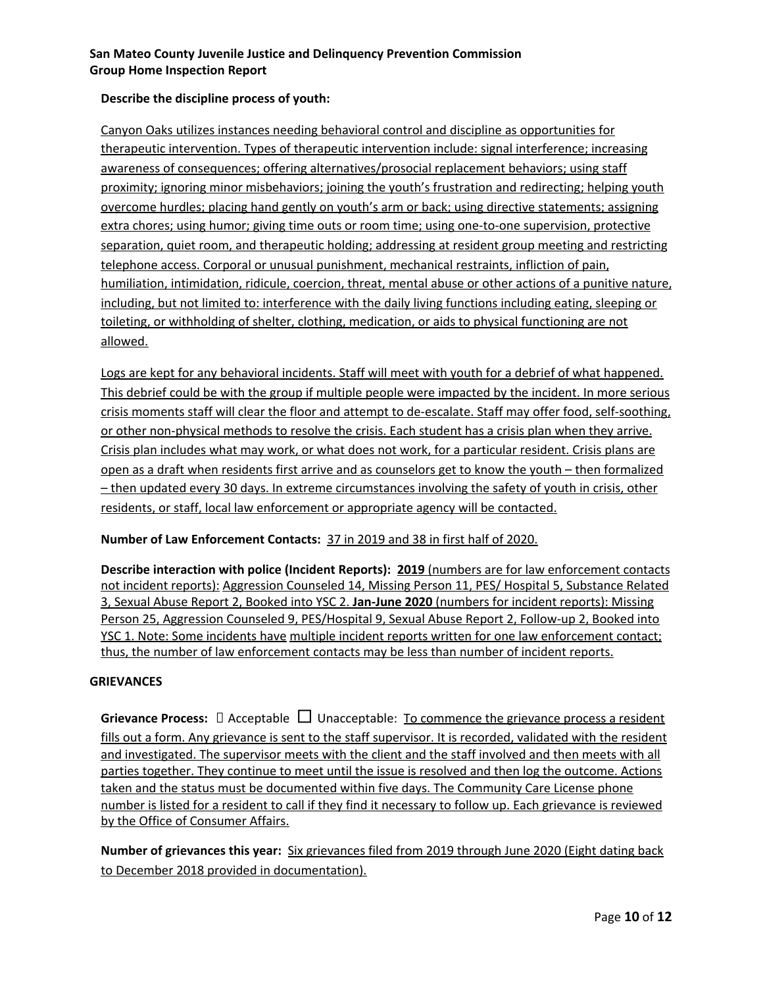## **Describe the discipline process of youth:**

Canyon Oaks utilizes instances needing behavioral control and discipline as opportunities for therapeutic intervention. Types of therapeutic intervention include: signal interference; increasing awareness of consequences; offering alternatives/prosocial replacement behaviors; using staff proximity; ignoring minor misbehaviors; joining the youth's frustration and redirecting; helping youth overcome hurdles; placing hand gently on youth's arm or back; using directive statements; assigning extra chores; using humor; giving time outs or room time; using one-to-one supervision, protective separation, quiet room, and therapeutic holding; addressing at resident group meeting and restricting telephone access. Corporal or unusual punishment, mechanical restraints, infliction of pain, humiliation, intimidation, ridicule, coercion, threat, mental abuse or other actions of a punitive nature, including, but not limited to: interference with the daily living functions including eating, sleeping or toileting, or withholding of shelter, clothing, medication, or aids to physical functioning are not allowed.

Logs are kept for any behavioral incidents. Staff will meet with youth for a debrief of what happened. This debrief could be with the group if multiple people were impacted by the incident. In more serious crisis moments staff will clear the floor and attempt to de-escalate. Staff may offer food, self-soothing, or other non-physical methods to resolve the crisis. Each student has a crisis plan when they arrive. Crisis plan includes what may work, or what does not work, for a particular resident. Crisis plans are open as a draft when residents first arrive and as counselors get to know the youth – then formalized – then updated every 30 days. In extreme circumstances involving the safety of youth in crisis, other residents, or staff, local law enforcement or appropriate agency will be contacted.

## **Number of Law Enforcement Contacts:** 37 in 2019 and 38 in first half of 2020.

**Describe interaction with police (Incident Reports): 2019** (numbers are for law enforcement contacts not incident reports): Aggression Counseled 14, Missing Person 11, PES/ Hospital 5, Substance Related 3, Sexual Abuse Report 2, Booked into YSC 2. **Jan-June 2020** (numbers for incident reports): Missing Person 25, Aggression Counseled 9, PES/Hospital 9, Sexual Abuse Report 2, Follow-up 2, Booked into YSC 1. Note: Some incidents have multiple incident reports written for one law enforcement contact; thus, the number of law enforcement contacts may be less than number of incident reports.

## **GRIEVANCES**

**Grievance Process:**  $\Box$  Acceptable  $\Box$  Unacceptable: <u>To commence the grievance process a resident</u> fills out a form. Any grievance is sent to the staff supervisor. It is recorded, validated with the resident and investigated. The supervisor meets with the client and the staff involved and then meets with all parties together. They continue to meet until the issue is resolved and then log the outcome. Actions taken and the status must be documented within five days. The Community Care License phone number is listed for a resident to call if they find it necessary to follow up. Each grievance is reviewed by the Office of Consumer Affairs.

**Number of grievances this year:** Six grievances filed from 2019 through June 2020 (Eight dating back to December 2018 provided in documentation).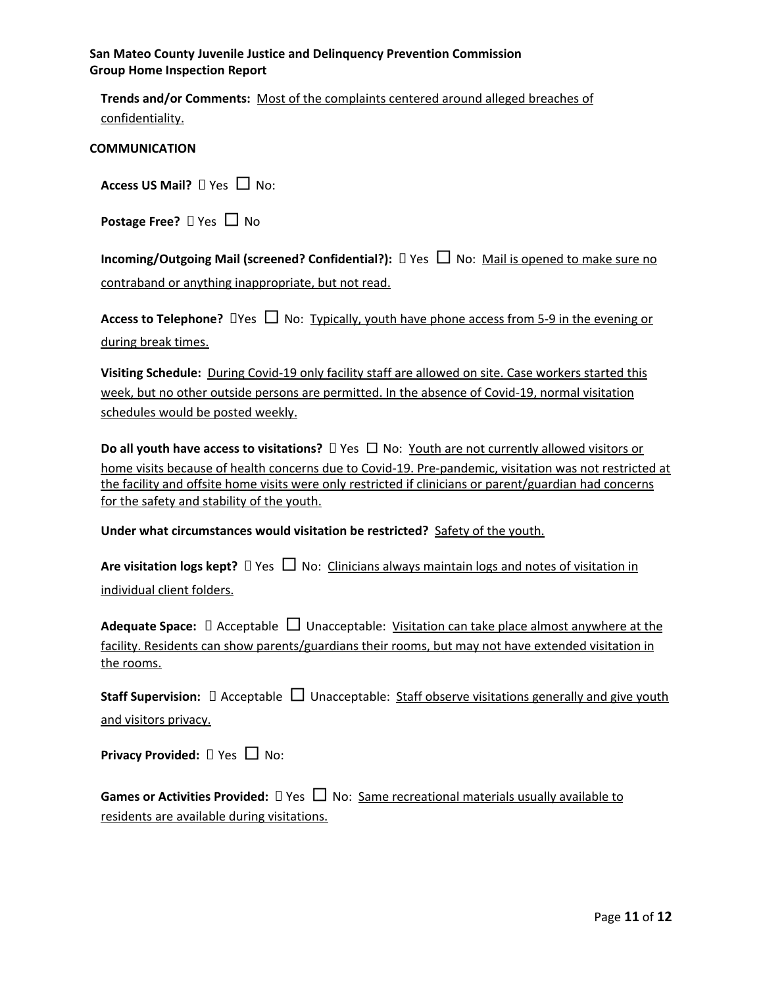**Trends and/or Comments:** Most of the complaints centered around alleged breaches of confidentiality.

#### **COMMUNICATION**

| Access US Mail? $\Box$ Yes $\Box$ No: |  |  |  |
|---------------------------------------|--|--|--|
|                                       |  |  |  |

**Postage Free?** □ Yes □ No

**Incoming/Outgoing Mail (screened? Confidential?):** Yes □ No: Mail is opened to make sure no contraband or anything inappropriate, but not read.

**Access to Telephone?**  $\Box$  Yes  $\Box$  No: Typically, youth have phone access from 5-9 in the evening or during break times.

**Visiting Schedule:** During Covid-19 only facility staff are allowed on site. Case workers started this week, but no other outside persons are permitted. In the absence of Covid-19, normal visitation schedules would be posted weekly.

**Do** all youth have access to visitations? □ Yes □ No: Youth are not currently allowed visitors or home visits because of health concerns due to Covid-19. Pre-pandemic, visitation was not restricted at the facility and offsite home visits were only restricted if clinicians or parent/guardian had concerns for the safety and stability of the youth.

**Under what circumstances would visitation be restricted?** Safety of the youth.

| Are visitation logs kept? $\Box$ Yes $\Box$ No: Clinicians always maintain logs and notes of visitation in |  |  |  |  |
|------------------------------------------------------------------------------------------------------------|--|--|--|--|
| individual client folders.                                                                                 |  |  |  |  |

**Adequate Space:**  $\Box$  Acceptable  $\Box$  Unacceptable: Visitation can take place almost anywhere at the facility. Residents can show parents/guardians their rooms, but may not have extended visitation in the rooms.

|                       | <b>Staff Supervision:</b> $\Box$ Acceptable $\Box$ Unacceptable: Staff observe visitations generally and give youth |  |  |  |
|-----------------------|---------------------------------------------------------------------------------------------------------------------|--|--|--|
| and visitors privacy. |                                                                                                                     |  |  |  |

| Privacy Provided: $\square$ Yes $\square$ No: |  |  |
|-----------------------------------------------|--|--|
|-----------------------------------------------|--|--|

| <b>Games or Activities Provided:</b> $\Box$ Yes $\Box$ No: Same recreational materials usually available to |  |  |
|-------------------------------------------------------------------------------------------------------------|--|--|
| residents are available during visitations.                                                                 |  |  |